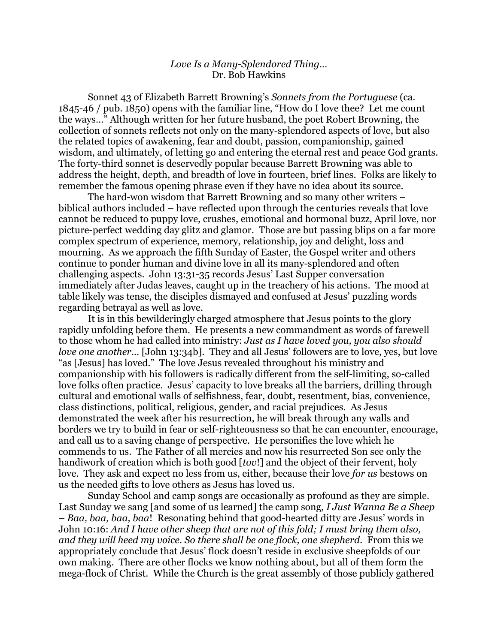## *Love Is a Many-Splendored Thing…* Dr. Bob Hawkins

Sonnet 43 of Elizabeth Barrett Browning's *Sonnets from the Portuguese* (ca. 1845-46 / pub. 1850) opens with the familiar line, "How do I love thee? Let me count the ways…" Although written for her future husband, the poet Robert Browning, the collection of sonnets reflects not only on the many-splendored aspects of love, but also the related topics of awakening, fear and doubt, passion, companionship, gained wisdom, and ultimately, of letting go and entering the eternal rest and peace God grants. The forty-third sonnet is deservedly popular because Barrett Browning was able to address the height, depth, and breadth of love in fourteen, brief lines. Folks are likely to remember the famous opening phrase even if they have no idea about its source.

The hard-won wisdom that Barrett Browning and so many other writers – biblical authors included – have reflected upon through the centuries reveals that love cannot be reduced to puppy love, crushes, emotional and hormonal buzz, April love, nor picture-perfect wedding day glitz and glamor. Those are but passing blips on a far more complex spectrum of experience, memory, relationship, joy and delight, loss and mourning. As we approach the fifth Sunday of Easter, the Gospel writer and others continue to ponder human and divine love in all its many-splendored and often challenging aspects. John 13:31-35 records Jesus' Last Supper conversation immediately after Judas leaves, caught up in the treachery of his actions. The mood at table likely was tense, the disciples dismayed and confused at Jesus' puzzling words regarding betrayal as well as love.

It is in this bewilderingly charged atmosphere that Jesus points to the glory rapidly unfolding before them. He presents a new commandment as words of farewell to those whom he had called into ministry: *Just as I have loved you, you also should love one another*… [John 13:34b]. They and all Jesus' followers are to love, yes, but love "as [Jesus] has loved." The love Jesus revealed throughout his ministry and companionship with his followers is radically different from the self-limiting, so-called love folks often practice. Jesus' capacity to love breaks all the barriers, drilling through cultural and emotional walls of selfishness, fear, doubt, resentment, bias, convenience, class distinctions, political, religious, gender, and racial prejudices. As Jesus demonstrated the week after his resurrection, he will break through any walls and borders we try to build in fear or self-righteousness so that he can encounter, encourage, and call us to a saving change of perspective. He personifies the love which he commends to us. The Father of all mercies and now his resurrected Son see only the handiwork of creation which is both good [*tov*!] and the object of their fervent, holy love. They ask and expect no less from us, either, because their love *for us* bestows on us the needed gifts to love others as Jesus has loved us.

Sunday School and camp songs are occasionally as profound as they are simple. Last Sunday we sang [and some of us learned] the camp song, *I Just Wanna Be a Sheep – Baa, baa, baa, baa*! Resonating behind that good-hearted ditty are Jesus' words in John 10:16: *And I have other sheep that are not of this fold; I must bring them also, and they will heed my voice. So there shall be one flock, one shepherd.* From this we appropriately conclude that Jesus' flock doesn't reside in exclusive sheepfolds of our own making. There are other flocks we know nothing about, but all of them form the mega-flock of Christ. While the Church is the great assembly of those publicly gathered